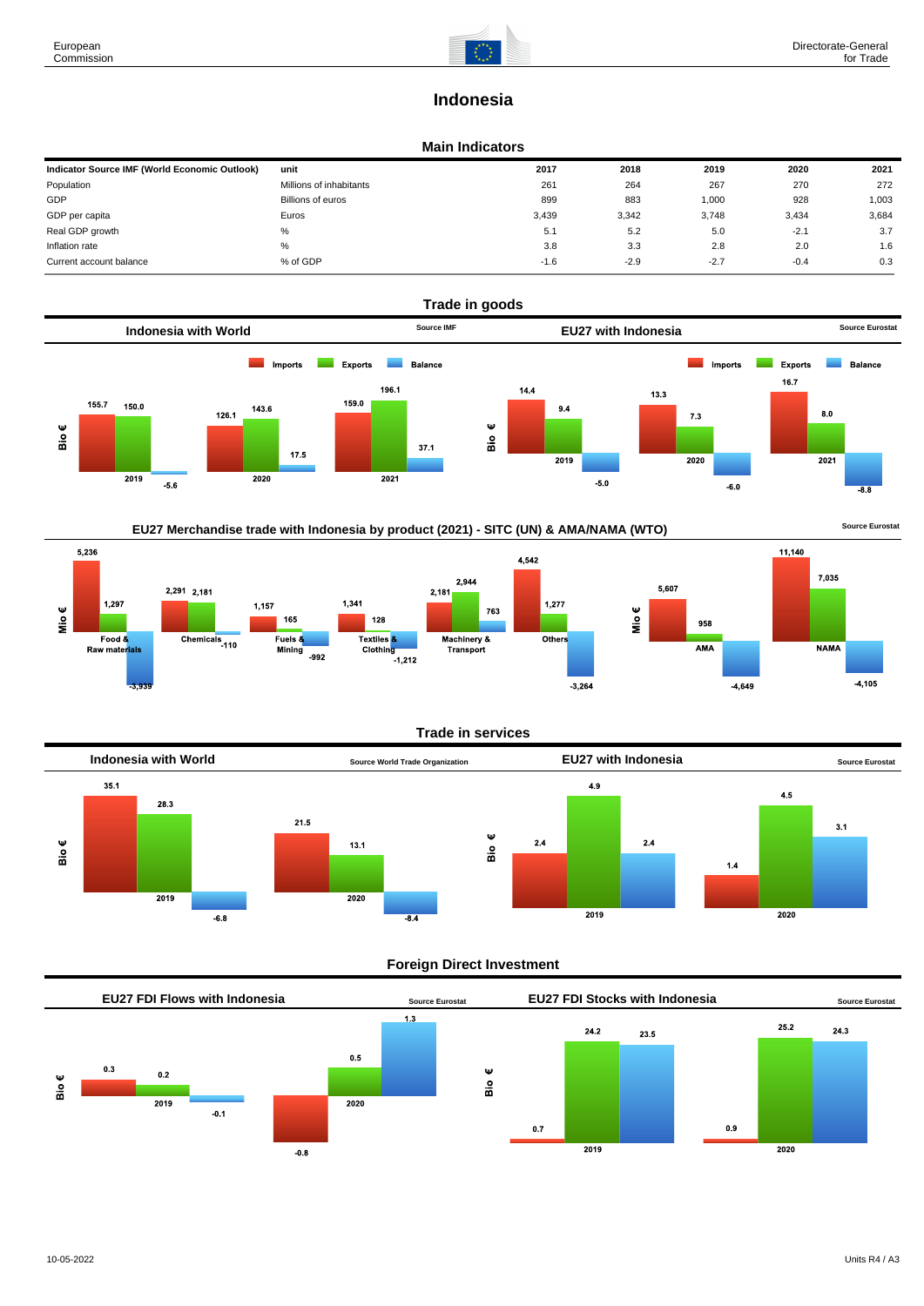7,035

**NAMA** 

 $-4,105$ 

# **Indonesia**

#### **Main Indicators**

| Indicator Source IMF (World Economic Outlook) | unit                    | 2017   | 2018   | 2019   | 2020   | 2021  |
|-----------------------------------------------|-------------------------|--------|--------|--------|--------|-------|
| Population                                    | Millions of inhabitants | 261    | 264    | 267    | 270    | 272   |
| GDP                                           | Billions of euros       | 899    | 883    | 1,000  | 928    | 1,003 |
| GDP per capita                                | Euros                   | 3.439  | 3,342  | 3,748  | 3,434  | 3,684 |
| Real GDP growth                               | %                       | 5.1    | 5.2    | 5.0    | $-2.1$ | 3.7   |
| Inflation rate                                | $\%$                    | 3.8    | 3.3    | 2.8    | 2.0    | 1.6   |
| Current account balance                       | % of GDP                | $-1.6$ | $-2.9$ | $-2.7$ | $-0.4$ | 0.3   |



EU27 Merchandise trade with Indonesia by product (2021) - SITC (UN) & AMA/NAMA (WTO) **SOULD A SOUTCE EUROS** Source Eurostat







### **Foreign Direct Investment**